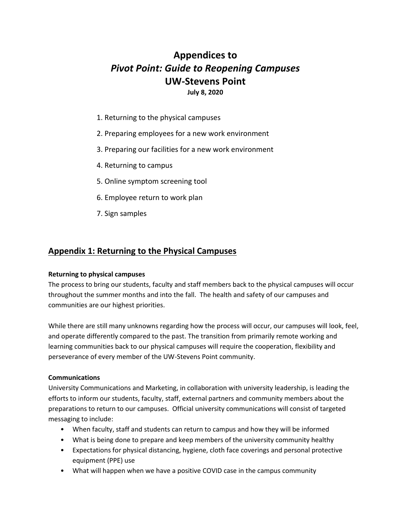# **Appendices to**  *Pivot Point: Guide to Reopening Campuses* **UW-Stevens Point July 8, 2020**

- 1. Returning to the physical campuses
- 2. Preparing employees for a new work environment
- 3. Preparing our facilities for a new work environment
- 4. Returning to campus
- 5. Online symptom screening tool
- 6. Employee return to work plan
- 7. Sign samples

## **Appendix 1: Returning to the Physical Campuses**

#### **Returning to physical campuses**

The process to bring our students, faculty and staff members back to the physical campuses will occur throughout the summer months and into the fall. The health and safety of our campuses and communities are our highest priorities.

While there are still many unknowns regarding how the process will occur, our campuses will look, feel, and operate differently compared to the past. The transition from primarily remote working and learning communities back to our physical campuses will require the cooperation, flexibility and perseverance of every member of the UW-Stevens Point community.

#### **Communications**

University Communications and Marketing, in collaboration with university leadership, is leading the efforts to inform our students, faculty, staff, external partners and community members about the preparations to return to our campuses. Official university communications will consist of targeted messaging to include:

- When faculty, staff and students can return to campus and how they will be informed
- What is being done to prepare and keep members of the university community healthy
- Expectations for physical distancing, hygiene, cloth face coverings and personal protective equipment (PPE) use
- What will happen when we have a positive COVID case in the campus community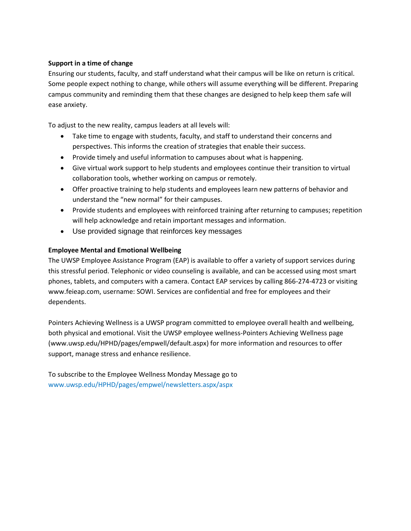#### **Support in a time of change**

Ensuring our students, faculty, and staff understand what their campus will be like on return is critical. Some people expect nothing to change, while others will assume everything will be different. Preparing campus community and reminding them that these changes are designed to help keep them safe will ease anxiety.

To adjust to the new reality, campus leaders at all levels will:

- Take time to engage with students, faculty, and staff to understand their concerns and perspectives. This informs the creation of strategies that enable their success.
- Provide timely and useful information to campuses about what is happening.
- Give virtual work support to help students and employees continue their transition to virtual collaboration tools, whether working on campus or remotely.
- Offer proactive training to help students and employees learn new patterns of behavior and understand the "new normal" for their campuses.
- Provide students and employees with reinforced training after returning to campuses; repetition will help acknowledge and retain important messages and information.
- Use provided signage that reinforces key messages

#### **Employee Mental and Emotional Wellbeing**

The UWSP Employee Assistance Program (EAP) is available to offer a variety of support services during this stressful period. Telephonic or video counseling is available, and can be accessed using most smart phones, tablets, and computers with a camera. Contact EAP services by calling 866-274-4723 or visiting [www.feieap.com,](http://www.feieap.com/) username: SOWI. Services are confidential and free for employees and their dependents.

Pointers Achieving Wellness is a UWSP program committed to employee overall health and wellbeing, both physical and emotional. Visit the UWSP employee wellness-Pointers Achieving Wellness page [\(www.uwsp.edu/HPHD/pages/empwell/default.aspx\)](http://www.uwsp.edu/HPHD/pages/empwell/default.aspx) for more information and resources to offer support, manage stress and enhance resilience.

To subscribe to the Employee Wellness Monday Message go to [www.uwsp.edu/HPHD/pages/empwel/newsletters.aspx/aspx](http://www.uwsp.edu/HPHD/pages/empwel/newsletters.aspx/aspx)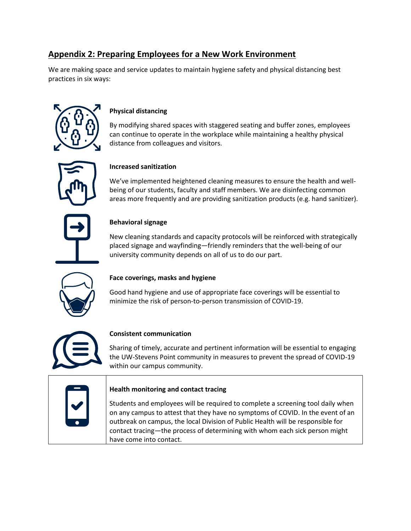# **Appendix 2: Preparing Employees for a New Work Environment**

We are making space and service updates to maintain hygiene safety and physical distancing best practices in six ways:



### **Physical distancing**

By modifying shared spaces with staggered seating and buffer zones, employees can continue to operate in the workplace while maintaining a healthy physical distance from colleagues and visitors.

### **Increased sanitization**

We've implemented heightened cleaning measures to ensure the health and wellbeing of our students, faculty and staff members. We are disinfecting common areas more frequently and are providing sanitization products (e.g. hand sanitizer).

## **Behavioral signage**

New cleaning standards and capacity protocols will be reinforced with strategically placed signage and wayfinding—friendly reminders that the well-being of our university community depends on all of us to do our part.



### **Face coverings, masks and hygiene**

Good hand hygiene and use of appropriate face coverings will be essential to minimize the risk of person-to-person transmission of COVID-19.



## **Consistent communication**

Sharing of timely, accurate and pertinent information will be essential to engaging the UW-Stevens Point community in measures to prevent the spread of COVID-19 within our campus community.

## **Health monitoring and contact tracing**

Students and employees will be required to complete a screening tool daily when on any campus to attest that they have no symptoms of COVID. In the event of an outbreak on campus, the local Division of Public Health will be responsible for contact tracing—the process of determining with whom each sick person might have come into contact.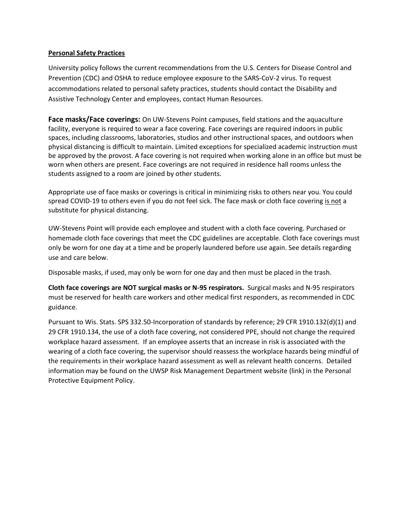#### **Personal Safety Practices**

University policy follows the current recommendations from the U.S. Centers for Disease Control and Prevention (CDC) and OSHA to reduce employee exposure to the SARS-CoV-2 virus. To request accommodations related to personal safety practices, students should contact the Disability and Assistive Technology Center and employees, contact Human Resources.

**Face masks/Face coverings:** On UW-Stevens Point campuses, field stations and the aquaculture facility, everyone is required to wear a face covering. Face coverings are required indoors in public spaces, including classrooms, laboratories, studios and other instructional spaces, and outdoors when physical distancing is difficult to maintain. Limited exceptions for specialized academic instruction must be approved by the provost. A face covering is not required when working alone in an office but must be worn when others are present. Face coverings are not required in residence hall rooms unless the students assigned to a room are joined by other students.

Appropriate use of face masks or coverings is critical in minimizing risks to others near you. You could spread COVID-19 to others even if you do not feel sick. The face mask or cloth face covering is not a substitute for physical distancing.

UW-Stevens Point will provide each employee and student with a cloth face covering. Purchased or homemade cloth face coverings that meet the CDC guidelines are acceptable. Cloth face coverings must only be worn for one day at a time and be properly laundered before use again. See details regarding use and care below.

Disposable masks, if used, may only be worn for one day and then must be placed in the trash.

**Cloth face coverings are NOT surgical masks or N-95 respirators.** Surgical masks and N-95 respirators must be reserved for health care workers and other medical first responders, as recommended in CDC guidance.

Pursuant to Wis. Stats. SPS 332.50-Incorporation of standards by reference; 29 CFR 1910.132(d)(1) and 29 CFR 1910.134, the use of a cloth face covering, not considered PPE, should not change the required workplace hazard assessment. If an employee asserts that an increase in risk is associated with the wearing of a cloth face covering, the supervisor should reassess the workplace hazards being mindful of the requirements in their workplace hazard assessment as well as relevant health concerns. Detailed information may be found on the UWSP Risk Management Department website (link) in the Personal Protective Equipment Policy.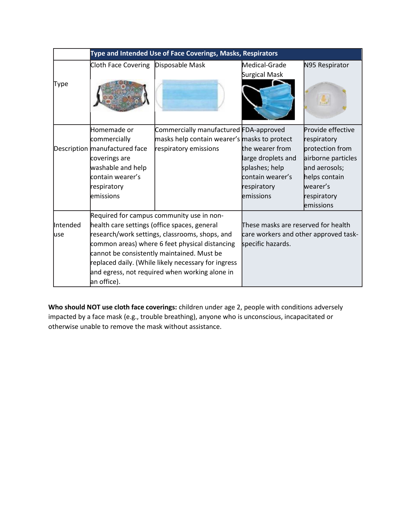|          |                               | Type and Intended Use of Face Coverings, Masks, Respirators |                                       |                    |
|----------|-------------------------------|-------------------------------------------------------------|---------------------------------------|--------------------|
| Type     | Cloth Face Covering           | Disposable Mask                                             | Medical-Grade<br>Surgical Mask        | N95 Respirator     |
|          | Homemade or                   | Commercially manufactured FDA-approved                      |                                       | Provide effective  |
|          | commercially                  | masks help contain wearer's masks to protect                |                                       | respiratory        |
|          | Description manufactured face | respiratory emissions                                       | the wearer from                       | protection from    |
|          | coverings are                 |                                                             | large droplets and                    | airborne particles |
|          | washable and help             |                                                             | splashes; help                        | and aerosols;      |
|          | contain wearer's              |                                                             | contain wearer's                      | helps contain      |
|          | respiratory                   |                                                             | respiratory                           | wearer's           |
|          | emissions                     |                                                             | emissions                             | respiratory        |
|          |                               |                                                             |                                       | emissions          |
|          |                               | Required for campus community use in non-                   |                                       |                    |
| Intended |                               | health care settings (office spaces, general                | These masks are reserved for health   |                    |
| luse     |                               | research/work settings, classrooms, shops, and              | care workers and other approved task- |                    |
|          |                               | common areas) where 6 feet physical distancing              | specific hazards.                     |                    |
|          |                               | cannot be consistently maintained. Must be                  |                                       |                    |
|          |                               | replaced daily. (While likely necessary for ingress         |                                       |                    |
|          |                               | and egress, not required when working alone in              |                                       |                    |
|          | an office).                   |                                                             |                                       |                    |

**Who should NOT use cloth face coverings:** children under age 2, people with conditions adversely impacted by a face mask (e.g., trouble breathing), anyone who is unconscious, incapacitated or otherwise unable to remove the mask without assistance.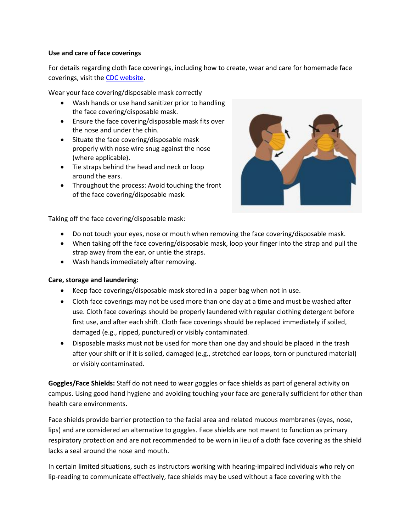#### **Use and care of face coverings**

For details regarding cloth face coverings, including how to create, wear and care for homemade face coverings, visit th[e CDC website.](https://www.cdc.gov/coronavirus/2019-ncov/index.html)

Wear your face covering/disposable mask correctly

- Wash hands or use hand sanitizer prior to handling the face covering/disposable mask.
- Ensure the face covering/disposable mask fits over the nose and under the chin.
- Situate the face covering/disposable mask properly with nose wire snug against the nose (where applicable).
- Tie straps behind the head and neck or loop around the ears.
- Throughout the process: Avoid touching the front of the face covering/disposable mask.



Taking off the face covering/disposable mask:

- Do not touch your eyes, nose or mouth when removing the face covering/disposable mask.
- When taking off the face covering/disposable mask, loop your finger into the strap and pull the strap away from the ear, or untie the straps.
- Wash hands immediately after removing.

#### **Care, storage and laundering:**

- Keep face coverings/disposable mask stored in a paper bag when not in use.
- Cloth face coverings may not be used more than one day at a time and must be washed after use. Cloth face coverings should be properly laundered with regular clothing detergent before first use, and after each shift. Cloth face coverings should be replaced immediately if soiled, damaged (e.g., ripped, punctured) or visibly contaminated.
- Disposable masks must not be used for more than one day and should be placed in the trash after your shift or if it is soiled, damaged (e.g., stretched ear loops, torn or punctured material) or visibly contaminated.

**Goggles/Face Shields:** Staff do not need to wear goggles or face shields as part of general activity on campus. Using good hand hygiene and avoiding touching your face are generally sufficient for other than health care environments.

Face shields provide barrier protection to the facial area and related mucous membranes (eyes, nose, lips) and are considered an alternative to goggles. Face shields are not meant to function as primary respiratory protection and are not recommended to be worn in lieu of a cloth face covering as the shield lacks a seal around the nose and mouth.

In certain limited situations, such as instructors working with hearing-impaired individuals who rely on lip-reading to communicate effectively, face shields may be used without a face covering with the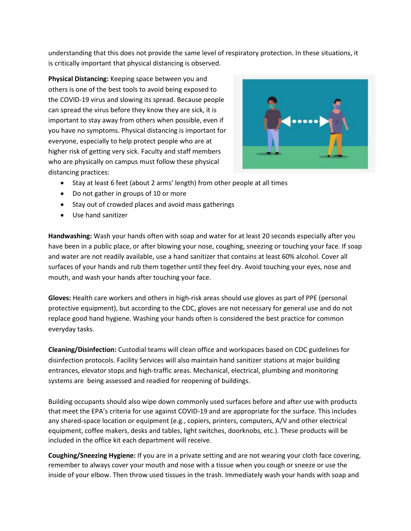understanding that this does not provide the same level of respiratory protection. In these situations, it is critically important that physical distancing is observed.

**Physical Distancing:** Keeping space between you and others is one of the best tools to avoid being exposed to the COVID-19 virus and slowing its spread. Because people can spread the virus before they know they are sick, it is important to stay away from others when possible, even if you have no symptoms. Physical distancing is important for everyone, especially to help protect people who are at higher risk of getting very sick. Faculty and staff members who are physically on campus must follow these physical distancing practices:



- Stay at least 6 feet (about 2 arms' length) from other people at all times
- Do not gather in groups of 10 or more
- Stay out of crowded places and avoid mass gatherings
- Use hand sanitizer

**Handwashing:** Wash your hands often with soap and water for at least 20 seconds especially after you have been in a public place, or after blowing your nose, coughing, sneezing or touching your face. If soap and water are not readily available, use a hand sanitizer that contains at least 60% alcohol. Cover all surfaces of your hands and rub them together until they feel dry. Avoid touching your eyes, nose and mouth, and wash your hands after touching your face.

**Gloves:** Health care workers and others in high-risk areas should use gloves as part of PPE (personal protective equipment), but according to the CDC, gloves are not necessary for general use and do not replace good hand hygiene. Washing your hands often is considered the best practice for common everyday tasks.

**Cleaning/Disinfection:** Custodial teams will clean office and workspaces based on CDC guidelines for disinfection protocols. Facility Services will also maintain hand sanitizer stations at major building entrances, elevator stops and high-traffic areas. Mechanical, electrical, plumbing and monitoring systems are being assessed and readied for reopening of buildings.

Building occupants should also wipe down commonly used surfaces before and after use with products that meet the EPA's criteria for use against COVID-19 and are appropriate for the surface. This includes any shared-space location or equipment (e.g., copiers, printers, computers, A/V and other electrical equipment, coffee makers, desks and tables, light switches, doorknobs, etc.). These products will be included in the office kit each department will receive.

**Coughing/Sneezing Hygiene:** If you are in a private setting and are not wearing your cloth face covering, remember to always cover your mouth and nose with a tissue when you cough or sneeze or use the inside of your elbow. Then throw used tissues in the trash. Immediately wash your hands with soap and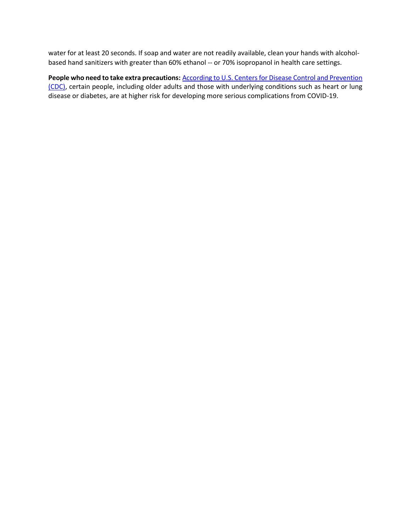water for at least 20 seconds. If soap and water are not readily available, clean your hands with alcoholbased hand sanitizers with greater than 60% ethanol -- or 70% isopropanol in health care settings.

People who need to take extra precautions: **According to U.S. Centers for Disease Control and Prevention** [\(CDC\),](https://www.cdc.gov/coronavirus/2019-ncov/need-extra-precautions/people-at-higher-risk.html) certain people, including older adults and those with underlying conditions such as heart or lung disease or diabetes, are at higher risk for developing more serious complications from COVID-19.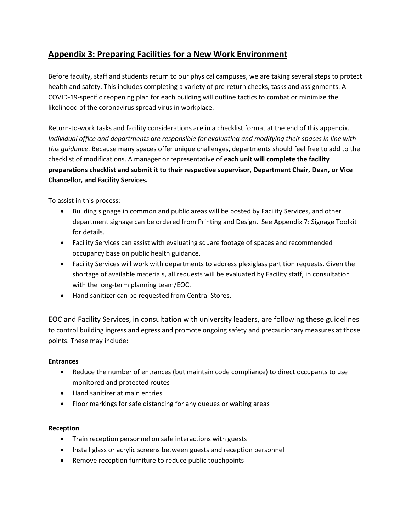## **Appendix 3: Preparing Facilities for a New Work Environment**

Before faculty, staff and students return to our physical campuses, we are taking several steps to protect health and safety. This includes completing a variety of pre-return checks, tasks and assignments. A COVID-19-specific reopening plan for each building will outline tactics to combat or minimize the likelihood of the coronavirus spread virus in workplace.

Return-to-work tasks and facility considerations are in a checklist format at the end of this appendix. *Individual office and departments are responsible for evaluating and modifying their spaces in line with this guidance*. Because many spaces offer unique challenges, departments should feel free to add to the checklist of modifications. A manager or representative of e**ach unit will complete the facility preparations checklist and submit it to their respective supervisor, Department Chair, Dean, or Vice Chancellor, and Facility Services.**

To assist in this process:

- Building signage in common and public areas will be posted by Facility Services, and other department signage can be ordered from Printing and Design. See Appendix 7: Signage Toolkit for details.
- Facility Services can assist with evaluating square footage of spaces and recommended occupancy base on public health guidance.
- Facility Services will work with departments to address plexiglass partition requests. Given the shortage of available materials, all requests will be evaluated by Facility staff, in consultation with the long-term planning team/EOC.
- Hand sanitizer can be requested from Central Stores.

EOC and Facility Services, in consultation with university leaders, are following these guidelines to control building ingress and egress and promote ongoing safety and precautionary measures at those points. These may include:

### **Entrances**

- Reduce the number of entrances (but maintain code compliance) to direct occupants to use monitored and protected routes
- Hand sanitizer at main entries
- Floor markings for safe distancing for any queues or waiting areas

### **Reception**

- Train reception personnel on safe interactions with guests
- Install glass or acrylic screens between guests and reception personnel
- Remove reception furniture to reduce public touchpoints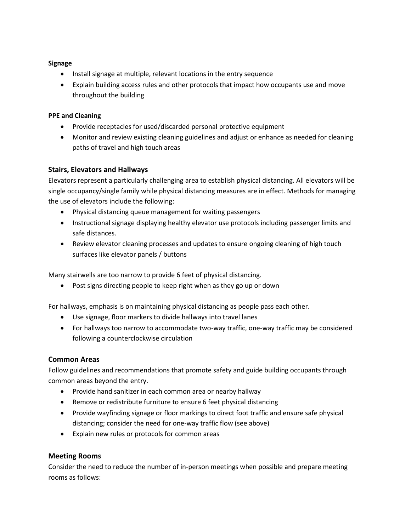#### **Signage**

- Install signage at multiple, relevant locations in the entry sequence
- Explain building access rules and other protocols that impact how occupants use and move throughout the building

### **PPE and Cleaning**

- Provide receptacles for used/discarded personal protective equipment
- Monitor and review existing cleaning guidelines and adjust or enhance as needed for cleaning paths of travel and high touch areas

### **Stairs, Elevators and Hallways**

Elevators represent a particularly challenging area to establish physical distancing. All elevators will be single occupancy/single family while physical distancing measures are in effect. Methods for managing the use of elevators include the following:

- Physical distancing queue management for waiting passengers
- Instructional signage displaying healthy elevator use protocols including passenger limits and safe distances.
- Review elevator cleaning processes and updates to ensure ongoing cleaning of high touch surfaces like elevator panels / buttons

Many stairwells are too narrow to provide 6 feet of physical distancing.

• Post signs directing people to keep right when as they go up or down

For hallways, emphasis is on maintaining physical distancing as people pass each other.

- Use signage, floor markers to divide hallways into travel lanes
- For hallways too narrow to accommodate two-way traffic, one-way traffic may be considered following a counterclockwise circulation

### **Common Areas**

Follow guidelines and recommendations that promote safety and guide building occupants through common areas beyond the entry.

- Provide hand sanitizer in each common area or nearby hallway
- Remove or redistribute furniture to ensure 6 feet physical distancing
- Provide wayfinding signage or floor markings to direct foot traffic and ensure safe physical distancing; consider the need for one-way traffic flow (see above)
- Explain new rules or protocols for common areas

### **Meeting Rooms**

Consider the need to reduce the number of in-person meetings when possible and prepare meeting rooms as follows: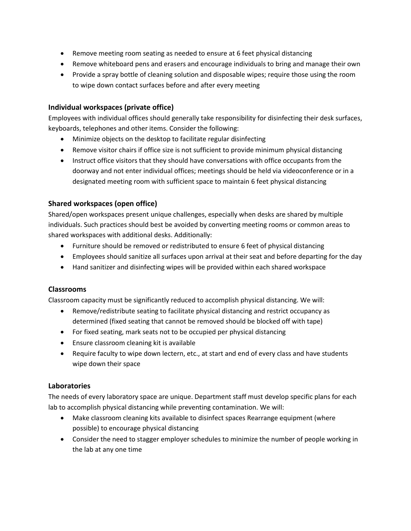- Remove meeting room seating as needed to ensure at 6 feet physical distancing
- Remove whiteboard pens and erasers and encourage individuals to bring and manage their own
- Provide a spray bottle of cleaning solution and disposable wipes; require those using the room to wipe down contact surfaces before and after every meeting

### **Individual workspaces (private office)**

Employees with individual offices should generally take responsibility for disinfecting their desk surfaces, keyboards, telephones and other items. Consider the following:

- Minimize objects on the desktop to facilitate regular disinfecting
- Remove visitor chairs if office size is not sufficient to provide minimum physical distancing
- Instruct office visitors that they should have conversations with office occupants from the doorway and not enter individual offices; meetings should be held via videoconference or in a designated meeting room with sufficient space to maintain 6 feet physical distancing

### **Shared workspaces (open office)**

Shared/open workspaces present unique challenges, especially when desks are shared by multiple individuals. Such practices should best be avoided by converting meeting rooms or common areas to shared workspaces with additional desks. Additionally:

- Furniture should be removed or redistributed to ensure 6 feet of physical distancing
- Employees should sanitize all surfaces upon arrival at their seat and before departing for the day
- Hand sanitizer and disinfecting wipes will be provided within each shared workspace

### **Classrooms**

Classroom capacity must be significantly reduced to accomplish physical distancing. We will:

- Remove/redistribute seating to facilitate physical distancing and restrict occupancy as determined (fixed seating that cannot be removed should be blocked off with tape)
- For fixed seating, mark seats not to be occupied per physical distancing
- Ensure classroom cleaning kit is available
- Require faculty to wipe down lectern, etc., at start and end of every class and have students wipe down their space

### **Laboratories**

The needs of every laboratory space are unique. Department staff must develop specific plans for each lab to accomplish physical distancing while preventing contamination. We will:

- Make classroom cleaning kits available to disinfect spaces Rearrange equipment (where possible) to encourage physical distancing
- Consider the need to stagger employer schedules to minimize the number of people working in the lab at any one time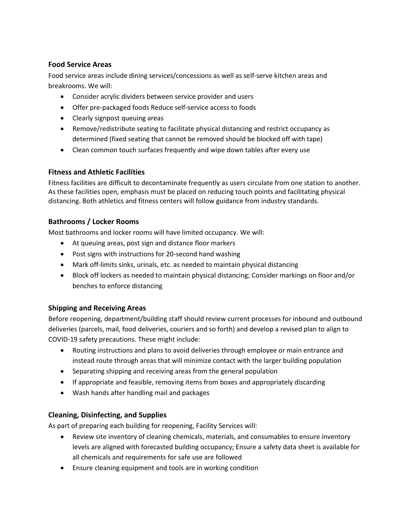### **Food Service Areas**

Food service areas include dining services/concessions as well as self-serve kitchen areas and breakrooms. We will:

- Consider acrylic dividers between service provider and users
- Offer pre-packaged foods Reduce self-service access to foods
- Clearly signpost queuing areas
- Remove/redistribute seating to facilitate physical distancing and restrict occupancy as determined (fixed seating that cannot be removed should be blocked off with tape)
- Clean common touch surfaces frequently and wipe down tables after every use

### **Fitness and Athletic Facilities**

Fitness facilities are difficult to decontaminate frequently as users circulate from one station to another. As these facilities open, emphasis must be placed on reducing touch points and facilitating physical distancing. Both athletics and fitness centers will follow guidance from industry standards.

### **Bathrooms / Locker Rooms**

Most bathrooms and locker rooms will have limited occupancy. We will:

- At queuing areas, post sign and distance floor markers
- Post signs with instructions for 20-second hand washing
- Mark off-limits sinks, urinals, etc. as needed to maintain physical distancing
- Block off lockers as needed to maintain physical distancing; Consider markings on floor and/or benches to enforce distancing

## **Shipping and Receiving Areas**

Before reopening, department/building staff should review current processes for inbound and outbound deliveries (parcels, mail, food deliveries, couriers and so forth) and develop a revised plan to align to COVID-19 safety precautions. These might include:

- Routing instructions and plans to avoid deliveries through employee or main entrance and instead route through areas that will minimize contact with the larger building population
- Separating shipping and receiving areas from the general population
- If appropriate and feasible, removing items from boxes and appropriately discarding
- Wash hands after handling mail and packages

## **Cleaning, Disinfecting, and Supplies**

As part of preparing each building for reopening, Facility Services will:

- Review site inventory of cleaning chemicals, materials, and consumables to ensure inventory levels are aligned with forecasted building occupancy; Ensure a safety data sheet is available for all chemicals and requirements for safe use are followed
- Ensure cleaning equipment and tools are in working condition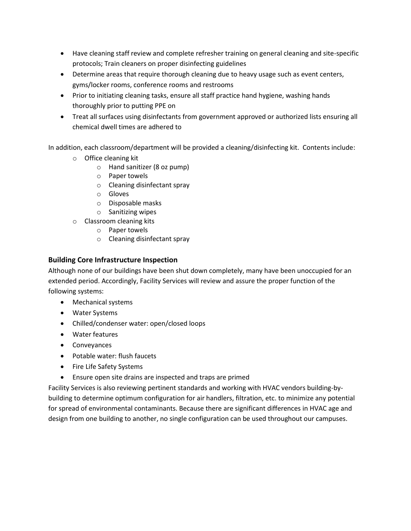- Have cleaning staff review and complete refresher training on general cleaning and site-specific protocols; Train cleaners on proper disinfecting guidelines
- Determine areas that require thorough cleaning due to heavy usage such as event centers, gyms/locker rooms, conference rooms and restrooms
- Prior to initiating cleaning tasks, ensure all staff practice hand hygiene, washing hands thoroughly prior to putting PPE on
- Treat all surfaces using disinfectants from government approved or authorized lists ensuring all chemical dwell times are adhered to

In addition, each classroom/department will be provided a cleaning/disinfecting kit. Contents include:

- o Office cleaning kit
	- o Hand sanitizer (8 oz pump)
	- o Paper towels
	- o Cleaning disinfectant spray
	- o Gloves
	- o Disposable masks
	- o Sanitizing wipes
- o Classroom cleaning kits
	- o Paper towels
	- o Cleaning disinfectant spray

### **Building Core Infrastructure Inspection**

Although none of our buildings have been shut down completely, many have been unoccupied for an extended period. Accordingly, Facility Services will review and assure the proper function of the following systems:

- Mechanical systems
- Water Systems
- Chilled/condenser water: open/closed loops
- Water features
- Conveyances
- Potable water: flush faucets
- Fire Life Safety Systems
- Ensure open site drains are inspected and traps are primed

Facility Services is also reviewing pertinent standards and working with HVAC vendors building-bybuilding to determine optimum configuration for air handlers, filtration, etc. to minimize any potential for spread of environmental contaminants. Because there are significant differences in HVAC age and design from one building to another, no single configuration can be used throughout our campuses.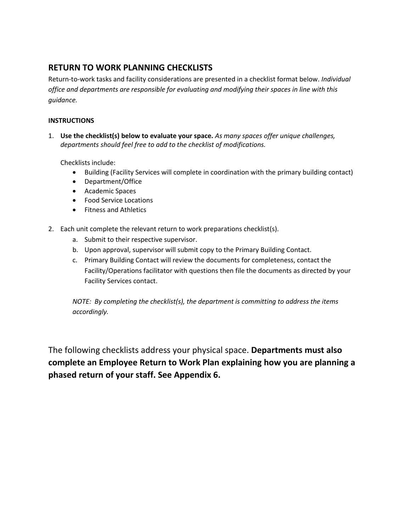## **RETURN TO WORK PLANNING CHECKLISTS**

Return-to-work tasks and facility considerations are presented in a checklist format below. *Individual office and departments are responsible for evaluating and modifying their spaces in line with this guidance.* 

### **INSTRUCTIONS**

1. **Use the checklist(s) below to evaluate your space.** *As many spaces offer unique challenges, departments should feel free to add to the checklist of modifications.*

Checklists include:

- Building (Facility Services will complete in coordination with the primary building contact)
- Department/Office
- Academic Spaces
- Food Service Locations
- Fitness and Athletics
- 2. Each unit complete the relevant return to work preparations checklist(s).
	- a. Submit to their respective supervisor.
	- b. Upon approval, supervisor will submit copy to the Primary Building Contact.
	- c. Primary Building Contact will review the documents for completeness, contact the Facility/Operations facilitator with questions then file the documents as directed by your Facility Services contact.

*NOTE: By completing the checklist(s), the department is committing to address the items accordingly.*

The following checklists address your physical space. **Departments must also complete an Employee Return to Work Plan explaining how you are planning a phased return of your staff. See Appendix 6.**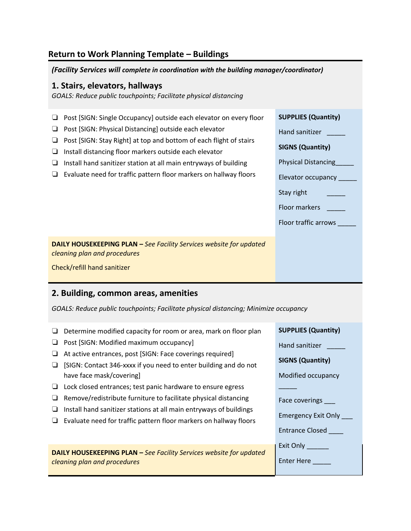## **Return to Work Planning Template – Buildings**

*(Facility Services will complete in coordination with the building manager/coordinator)*

#### **1. Stairs, elevators, hallways**

*GOALS: Reduce public touchpoints; Facilitate physical distancing* 

| Post [SIGN: Single Occupancy] outside each elevator on every floor<br>Post [SIGN: Physical Distancing] outside each elevator<br>Post [SIGN: Stay Right] at top and bottom of each flight of stairs<br>Install distancing floor markers outside each elevator<br>Install hand sanitizer station at all main entryways of building<br>Evaluate need for traffic pattern floor markers on hallway floors | <b>SUPPLIES (Quantity)</b><br>Hand sanitizer<br><b>SIGNS (Quantity)</b><br><b>Physical Distancing</b><br>Elevator occupancy<br>Stay right<br>Floor markers<br>Floor traffic arrows |
|-------------------------------------------------------------------------------------------------------------------------------------------------------------------------------------------------------------------------------------------------------------------------------------------------------------------------------------------------------------------------------------------------------|------------------------------------------------------------------------------------------------------------------------------------------------------------------------------------|
| <b>DAILY HOUSEKEEPING PLAN - See Facility Services website for updated</b><br>cleaning plan and procedures<br>Check/refill hand sanitizer                                                                                                                                                                                                                                                             |                                                                                                                                                                                    |

## **2. Building, common areas, amenities**

*GOALS: Reduce public touchpoints; Facilitate physical distancing; Minimize occupancy* 

- ❏ Determine modified capacity for room or area, mark on floor plan
- ❏ Post [SIGN: Modified maximum occupancy]
- ❏ At active entrances, post [SIGN: Face coverings required]
- ❏ [SIGN: Contact 346-xxxx if you need to enter building and do not have face mask/covering]
- ❏ Lock closed entrances; test panic hardware to ensure egress
- ❏ Remove/redistribute furniture to facilitate physical distancing
- ❏ Install hand sanitizer stations at all main entryways of buildings
- ❏ Evaluate need for traffic pattern floor markers on hallway floors

**DAILY HOUSEKEEPING PLAN –** *See Facility Services website for updated cleaning plan and procedures*

| <b>SUPPLIES (Quantity)</b> |
|----------------------------|
| Hand sanitizer             |
| <b>SIGNS (Quantity)</b>    |
| Modified occupancy         |
|                            |
| Face coverings             |
| <b>Emergency Exit Only</b> |
| Entrance Closed            |
| Exit Only                  |
| Enter Here                 |
|                            |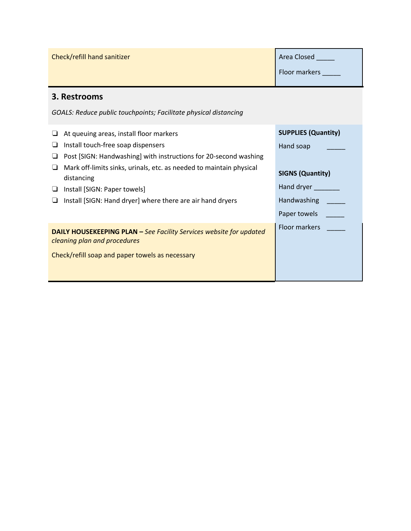| Check/refill hand sanitizer                                                                                                                                   | Area Closed<br>Floor markers |
|---------------------------------------------------------------------------------------------------------------------------------------------------------------|------------------------------|
| 3. Restrooms                                                                                                                                                  |                              |
| GOALS: Reduce public touchpoints; Facilitate physical distancing                                                                                              |                              |
| At queuing areas, install floor markers                                                                                                                       | <b>SUPPLIES (Quantity)</b>   |
| Install touch-free soap dispensers<br>ப                                                                                                                       | Hand soap                    |
| Post [SIGN: Handwashing] with instructions for 20-second washing                                                                                              |                              |
| Mark off-limits sinks, urinals, etc. as needed to maintain physical<br>distancing                                                                             | <b>SIGNS (Quantity)</b>      |
| Install [SIGN: Paper towels]<br>u.                                                                                                                            | Hand dryer                   |
| Install [SIGN: Hand dryer] where there are air hand dryers                                                                                                    | Handwashing                  |
|                                                                                                                                                               | Paper towels                 |
| <b>DAILY HOUSEKEEPING PLAN - See Facility Services website for updated</b><br>cleaning plan and procedures<br>Check/refill soap and paper towels as necessary | Floor markers                |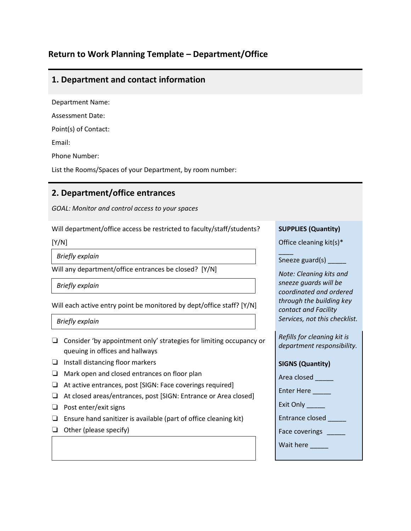## **Return to Work Planning Template – Department/Office**

## **1. Department and contact information**

Department Name:

Assessment Date:

Point(s) of Contact:

Email:

Phone Number:

List the Rooms/Spaces of your Department, by room number:

## **2. Department/office entrances**

*GOAL: Monitor and control access to your spaces*

Will department/office access be restricted to faculty/staff/students?

[Y/N]

*Briefly explain*

Will any department/office entrances be closed? [Y/N]

*Briefly explain*

Will each active entry point be monitored by dept/office staff? [Y/N]

*Briefly explain*

- ❏ Consider 'by appointment only' strategies for limiting occupancy or queuing in offices and hallways
- ❏ Install distancing floor markers
- ❏ Mark open and closed entrances on floor plan
- ❏ At active entrances, post [SIGN: Face coverings required]
- ❏ At closed areas/entrances, post [SIGN: Entrance or Area closed]
- ❏ Post enter/exit signs
- ❏ Ensure hand sanitizer is available (part of office cleaning kit)
- ❏ Other (please specify)

#### **SUPPLIES (Quantity)**

Office cleaning kit(s)\*

 $\overline{\phantom{a}}$ Sneeze guard(s) \_\_\_\_\_

*Note: Cleaning kits and sneeze guards will be coordinated and ordered through the building key contact and Facility Services, not this checklist.*

*Refills for cleaning kit is department responsibility.*

#### **SIGNS (Quantity)**

Area closed

Enter Here

Exit Only

Entrance closed \_\_\_\_\_

Face coverings \_\_\_\_\_

Wait here **wait**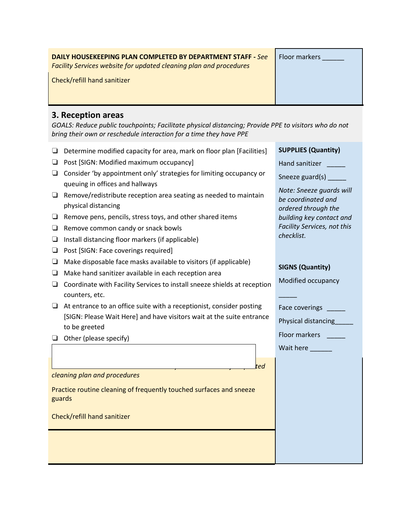| <b>DAILY HOUSEKEEPING PLAN COMPLETED BY DEPARTMENT STAFF - See</b><br>Facility Services website for updated cleaning plan and procedures                                                         | Floor markers |
|--------------------------------------------------------------------------------------------------------------------------------------------------------------------------------------------------|---------------|
| Check/refill hand sanitizer                                                                                                                                                                      |               |
| 3. Reception areas<br>GOALS: Reduce public touchpoints; Facilitate physical distancing; Provide PPE to visitors who do not<br>bring their own or reschedule interaction for a time they have PPE |               |
|                                                                                                                                                                                                  |               |

- ❏ Post [SIGN: Modified maximum occupancy]
- ❏ Consider 'by appointment only' strategies for limiting occupancy or queuing in offices and hallways
- ❏ Remove/redistribute reception area seating as needed to maintain physical distancing
- ❏ Remove pens, pencils, stress toys, and other shared items
- ❏ Remove common candy or snack bowls
- ❏ Install distancing floor markers (if applicable)
- ❏ Post [SIGN: Face coverings required]
- $\Box$  Make disposable face masks available to visitors (if applicable)
- ❏ Make hand sanitizer available in each reception area
- ❏ Coordinate with Facility Services to install sneeze shields at reception counters, etc.
- ❏ At entrance to an office suite with a receptionist, consider posting [SIGN: Please Wait Here] and have visitors wait at the suite entrance to be greeted
- ❏ Other (please specify)

*cleaning plan and procedures*

Practice routine cleaning of frequently touched surfaces and sneeze guards

Check/refill hand sanitizer

| Hand sanitizer |  |  |
|----------------|--|--|

| Sneeze guard(s) |  |
|-----------------|--|
|                 |  |

*Note: Sneeze guards will be coordinated and ordered through the building key contact and Facility Services, not this checklist.*

### **SIGNS (Quantity)**

 $\overline{\phantom{a}}$ 

Modified occupancy

Face coverings

Physical distancing\_\_\_\_\_\_

Floor markers **was also also** 

Wait here

**DAILY HOUSEKEEPING PLAN –** *See Facility Services website for updated*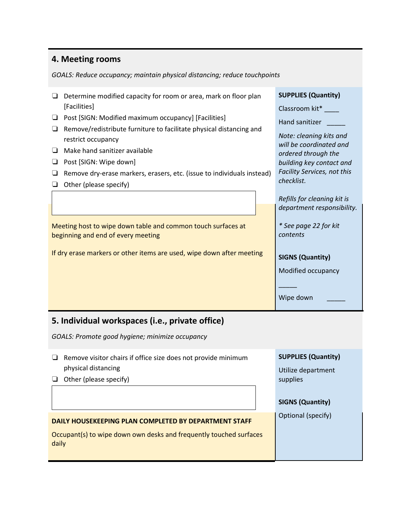## **4. Meeting rooms**

*GOALS: Reduce occupancy; maintain physical distancing; reduce touchpoints* 

| Determine modified capacity for room or area, mark on floor plan |                                                                                                                                                                                                                                                          | <b>SUPPLIES (Quantity)</b> |                                                                                                                                                    |
|------------------------------------------------------------------|----------------------------------------------------------------------------------------------------------------------------------------------------------------------------------------------------------------------------------------------------------|----------------------------|----------------------------------------------------------------------------------------------------------------------------------------------------|
|                                                                  | [Facilities]                                                                                                                                                                                                                                             |                            | Classroom kit*                                                                                                                                     |
| ⊔                                                                | Post [SIGN: Modified maximum occupancy] [Facilities]                                                                                                                                                                                                     |                            | Hand sanitizer                                                                                                                                     |
| ❏<br>❏<br>⊔<br>⊔                                                 | Remove/redistribute furniture to facilitate physical distancing and<br>restrict occupancy<br>Make hand sanitizer available<br>Post [SIGN: Wipe down]<br>Remove dry-erase markers, erasers, etc. (issue to individuals instead)<br>Other (please specify) |                            | Note: cleaning kits and<br>will be coordinated and<br>ordered through the<br>building key contact and<br>Facility Services, not this<br>checklist. |
|                                                                  |                                                                                                                                                                                                                                                          |                            | Refills for cleaning kit is                                                                                                                        |
|                                                                  |                                                                                                                                                                                                                                                          |                            | department responsibility.                                                                                                                         |
|                                                                  | Meeting host to wipe down table and common touch surfaces at<br>beginning and end of every meeting<br>If dry erase markers or other items are used, wipe down after meeting                                                                              |                            | * See page 22 for kit<br>contents<br><b>SIGNS (Quantity)</b><br>Modified occupancy<br>Wipe down                                                    |
|                                                                  | 5. Individual workspaces (i.e., private office)                                                                                                                                                                                                          |                            |                                                                                                                                                    |
|                                                                  | GOALS: Promote good hygiene; minimize occupancy                                                                                                                                                                                                          |                            |                                                                                                                                                    |
|                                                                  |                                                                                                                                                                                                                                                          |                            |                                                                                                                                                    |

❏ Remove visitor chairs if office size does not provide minimum physical distancing ❏ Other (please specify) **SUPPLIES (Quantity)** Utilize department supplies **SIGNS (Quantity)** Optional (specify) **DAILY HOUSEKEEPING PLAN COMPLETED BY DEPARTMENT STAFF** Occupant(s) to wipe down own desks and frequently touched surfaces daily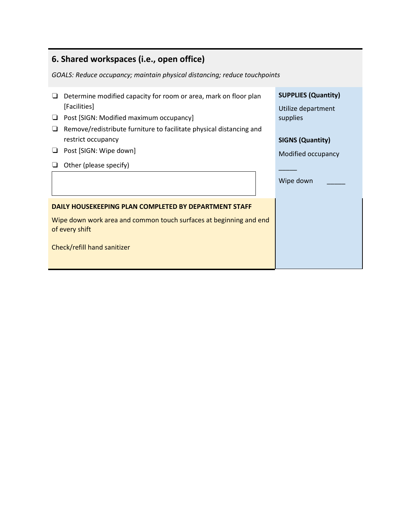| 6. Shared workspaces (i.e., open office)                                              |                                                  |  |
|---------------------------------------------------------------------------------------|--------------------------------------------------|--|
| GOALS: Reduce occupancy; maintain physical distancing; reduce touchpoints             |                                                  |  |
| Determine modified capacity for room or area, mark on floor plan<br>⊔<br>[Facilities] | <b>SUPPLIES (Quantity)</b><br>Utilize department |  |
| Post [SIGN: Modified maximum occupancy]<br>⊔                                          | supplies                                         |  |
| Remove/redistribute furniture to facilitate physical distancing and                   |                                                  |  |
| restrict occupancy                                                                    | <b>SIGNS (Quantity)</b>                          |  |
| Post [SIGN: Wipe down]<br>⊔                                                           | Modified occupancy                               |  |
| Other (please specify)                                                                |                                                  |  |
|                                                                                       | Wipe down                                        |  |
| DAILY HOUSEKEEPING PLAN COMPLETED BY DEPARTMENT STAFF                                 |                                                  |  |
| Wipe down work area and common touch surfaces at beginning and end<br>of every shift  |                                                  |  |
| Check/refill hand sanitizer                                                           |                                                  |  |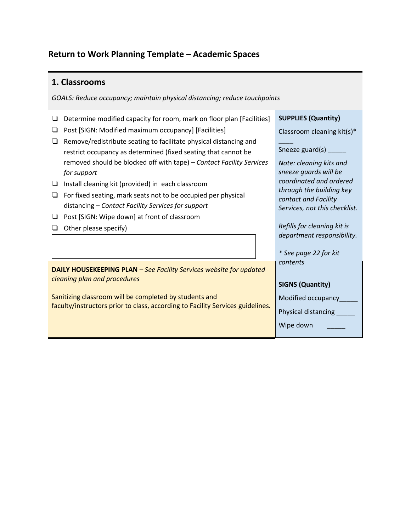## **Return to Work Planning Template – Academic Spaces**

### **1. Classrooms**

*GOALS: Reduce occupancy; maintain physical distancing; reduce touchpoints* 

- ❏ Determine modified capacity for room, mark on floor plan [Facilities]
- ❏ Post [SIGN: Modified maximum occupancy] [Facilities]
- ❏ Remove/redistribute seating to facilitate physical distancing and restrict occupancy as determined (fixed seating that cannot be removed should be blocked off with tape) *– Contact Facility Services for support*
- ❏ Install cleaning kit (provided) in each classroom
- ❏ For fixed seating, mark seats not to be occupied per physical distancing *– Contact Facility Services for support*
- ❏ Post [SIGN: Wipe down] at front of classroom
- ❏ Other please specify)

**DAILY HOUSEKEEPING PLAN** *– See Facility Services website for updated cleaning plan and procedures*

Sanitizing classroom will be completed by students and faculty/instructors prior to class, according to Facility Services guidelines*.*

**SUPPLIES (Quantity)**

Classroom cleaning kit(s)\*

 $\overline{\phantom{a}}$ Sneeze guard(s) \_\_\_\_\_

*Note: cleaning kits and sneeze guards will be coordinated and ordered through the building key contact and Facility Services, not this checklist.*

*Refills for cleaning kit is department responsibility.*

*\* See page 22 for kit contents*

## **SIGNS (Quantity)**

Modified occupancy\_\_\_\_\_

Physical distancing \_\_\_\_\_

Wipe down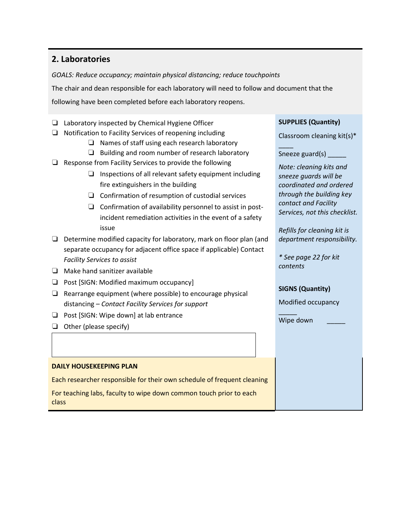## **2. Laboratories**

*GOALS: Reduce occupancy; maintain physical distancing; reduce touchpoints*

The chair and dean responsible for each laboratory will need to follow and document that the

following have been completed before each laboratory reopens.

- ❏ Laboratory inspected by Chemical Hygiene Officer
- ❏ Notification to Facility Services of reopening including
	- ❏ Names of staff using each research laboratory
	- ❏ Building and room number of research laboratory
- ❏ Response from Facility Services to provide the following
	- ❏ Inspections of all relevant safety equipment including fire extinguishers in the building
	- ❏ Confirmation of resumption of custodial services
	- ❏ Confirmation of availability personnel to assist in postincident remediation activities in the event of a safety issue
- ❏ Determine modified capacity for laboratory, mark on floor plan (and separate occupancy for adjacent office space if applicable) Contact *Facility Services to assist*
- ❏ Make hand sanitizer available
- ❏ Post [SIGN: Modified maximum occupancy]
- ❏ Rearrange equipment (where possible) to encourage physical distancing *– Contact Facility Services for support*
- ❏ Post [SIGN: Wipe down] at lab entrance
- ❏ Other (please specify)

❏

#### **DAILY HOUSEKEEPING PLAN**

Each researcher responsible for their own schedule of frequent cleaning

For teaching labs, faculty to wipe down common touch prior to each class

#### **SUPPLIES (Quantity)**

Classroom cleaning kit(s)\*

 $\overline{\phantom{a}}$ Sneeze guard(s) \_\_\_\_\_

*Note: cleaning kits and sneeze guards will be coordinated and ordered through the building key contact and Facility Services, not this checklist.*

*Refills for cleaning kit is department responsibility.*

*\* See page 22 for kit contents*

#### **SIGNS (Quantity)**

Modified occupancy

Wipe down

\_\_\_\_\_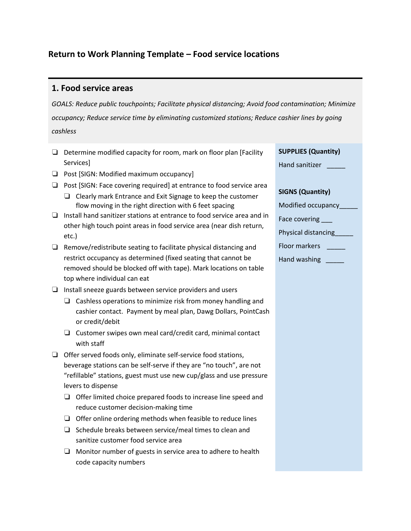## **Return to Work Planning Template – Food service locations**

## **1. Food service areas**

*GOALS: Reduce public touchpoints; Facilitate physical distancing; Avoid food contamination; Minimize occupancy; Reduce service time by eliminating customized stations; Reduce cashier lines by going cashless*

- ❏ Determine modified capacity for room, mark on floor plan [Facility Services]
- ❏ Post [SIGN: Modified maximum occupancy]
- ❏ Post [SIGN: Face covering required] at entrance to food service area
	- ❏ Clearly mark Entrance and Exit Signage to keep the customer flow moving in the right direction with 6 feet spacing
- ❏ Install hand sanitizer stations at entrance to food service area and in other high touch point areas in food service area (near dish return, etc.)
- ❏ Remove/redistribute seating to facilitate physical distancing and restrict occupancy as determined (fixed seating that cannot be removed should be blocked off with tape). Mark locations on table top where individual can eat
- ❏ Install sneeze guards between service providers and users
	- ❏ Cashless operations to minimize risk from money handling and cashier contact. Payment by meal plan, Dawg Dollars, PointCash or credit/debit
	- ❏ Customer swipes own meal card/credit card, minimal contact with staff
- ❏ Offer served foods only, eliminate self-service food stations, beverage stations can be self-serve if they are "no touch", are not "refillable" stations, guest must use new cup/glass and use pressure levers to dispense
	- ❏ Offer limited choice prepared foods to increase line speed and reduce customer decision-making time
	- ❏ Offer online ordering methods when feasible to reduce lines
	- ❏ Schedule breaks between service/meal times to clean and sanitize customer food service area
	- ❏ Monitor number of guests in service area to adhere to health code capacity numbers

#### **SUPPLIES (Quantity)**

| Hand sanitizer |  |
|----------------|--|
|----------------|--|

### **SIGNS (Quantity)**

| Modified occupancy   |
|----------------------|
| Face covering        |
| Physical distancing  |
| <b>Floor markers</b> |
| Hand washing         |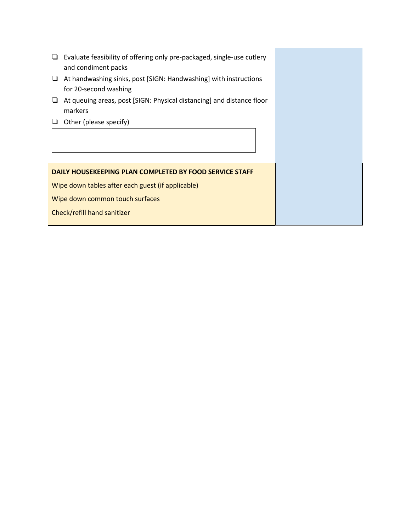- ❏ Evaluate feasibility of offering only pre-packaged, single-use cutlery and condiment packs
- ❏ At handwashing sinks, post [SIGN: Handwashing] with instructions for 20-second washing
- ❏ At queuing areas, post [SIGN: Physical distancing] and distance floor markers
- ❏ Other (please specify)

❏

#### **DAILY HOUSEKEEPING PLAN COMPLETED BY FOOD SERVICE STAFF**

Wipe down tables after each guest (if applicable)

Wipe down common touch surfaces

Check/refill hand sanitizer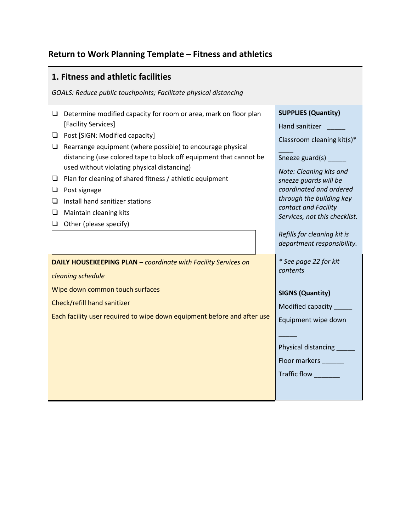## **Return to Work Planning Template – Fitness and athletics**

## **1. Fitness and athletic facilities**

*GOALS: Reduce public touchpoints; Facilitate physical distancing* 

- ❏ Determine modified capacity for room or area, mark on floor plan [Facility Services]
- ❏ Post [SIGN: Modified capacity]
- ❏ Rearrange equipment (where possible) to encourage physical distancing (use colored tape to block off equipment that cannot be used without violating physical distancing)
- ❏ Plan for cleaning of shared fitness / athletic equipment
- ❏ Post signage
- ❏ Install hand sanitizer stations
- ❏ Maintain cleaning kits
- ❏ Other (please specify)

**DAILY HOUSEKEEPING PLAN** *– coordinate with Facility Services on* 

*cleaning schedule*

Wipe down common touch surfaces

Check/refill hand sanitizer

Each facility user required to wipe down equipment before and after use

| Classroom cleaning kit(s)*    |
|-------------------------------|
| Sneeze guard(s) $\_$          |
| Note: Cleaning kits and       |
| sneeze guards will be         |
| coordinated and ordered       |
| through the building key      |
| contact and Facility          |
| Services, not this checklist. |
| Refills for cleaning kit is   |
| department responsibility.    |
| * See page 22 for kit         |
| contents                      |
|                               |
| <b>SIGNS (Quantity)</b>       |
| Modified capacity             |
| Equipment wipe down           |

Physical distancing \_\_\_\_\_\_

Floor markers \_\_\_\_\_\_

Traffic flow \_\_\_\_\_\_\_

 $\overline{\phantom{a}}$ 

**SUPPLIES (Quantity)**

Hand sanitizer \_\_\_\_\_\_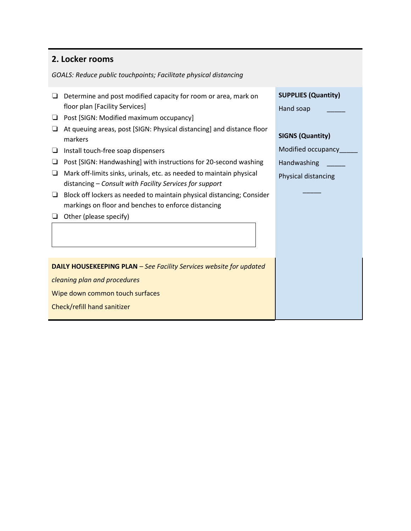## **2. Locker rooms**

*GOALS: Reduce public touchpoints; Facilitate physical distancing* 

- ❏ Determine and post modified capacity for room or area, mark on floor plan [Facility Services]
- ❏ Post [SIGN: Modified maximum occupancy]
- ❏ At queuing areas, post [SIGN: Physical distancing] and distance floor markers
- ❏ Install touch-free soap dispensers
- ❏ Post [SIGN: Handwashing] with instructions for 20-second washing
- ❏ Mark off-limits sinks, urinals, etc. as needed to maintain physical distancing *– Consult with Facility Services for support*
- ❏ Block off lockers as needed to maintain physical distancing; Consider markings on floor and benches to enforce distancing
- ❏ Other (please specify)

❏

**DAILY HOUSEKEEPING PLAN** *– See Facility Services website for updated* 

*cleaning plan and procedures*

Wipe down common touch surfaces

Check/refill hand sanitizer

|  | <b>SUPPLIES (Quantity)</b> |  |
|--|----------------------------|--|
|  |                            |  |

Hand soap \_\_\_\_\_

#### **SIGNS (Quantity)**

Modified occupancy\_\_\_\_\_

Handwashing \_\_\_\_\_

Physical distancing

 $\overline{\phantom{a}}$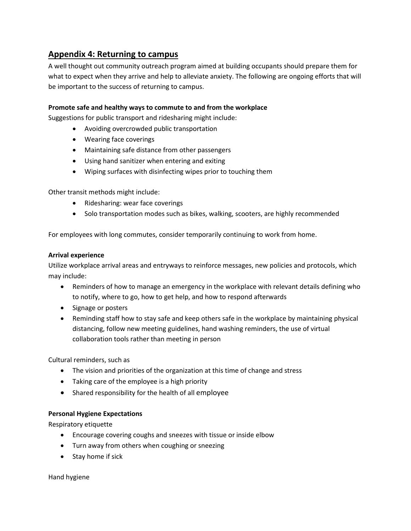## **Appendix 4: Returning to campus**

A well thought out community outreach program aimed at building occupants should prepare them for what to expect when they arrive and help to alleviate anxiety. The following are ongoing efforts that will be important to the success of returning to campus.

### **Promote safe and healthy ways to commute to and from the workplace**

Suggestions for public transport and ridesharing might include:

- Avoiding overcrowded public transportation
- Wearing face coverings
- Maintaining safe distance from other passengers
- Using hand sanitizer when entering and exiting
- Wiping surfaces with disinfecting wipes prior to touching them

Other transit methods might include:

- Ridesharing: wear face coverings
- Solo transportation modes such as bikes, walking, scooters, are highly recommended

For employees with long commutes, consider temporarily continuing to work from home.

#### **Arrival experience**

Utilize workplace arrival areas and entryways to reinforce messages, new policies and protocols, which may include:

- Reminders of how to manage an emergency in the workplace with relevant details defining who to notify, where to go, how to get help, and how to respond afterwards
- Signage or posters
- Reminding staff how to stay safe and keep others safe in the workplace by maintaining physical distancing, follow new meeting guidelines, hand washing reminders, the use of virtual collaboration tools rather than meeting in person

Cultural reminders, such as

- The vision and priorities of the organization at this time of change and stress
- Taking care of the employee is a high priority
- Shared responsibility for the health of all employee

#### **Personal Hygiene Expectations**

Respiratory etiquette

- Encourage covering coughs and sneezes with tissue or inside elbow
- Turn away from others when coughing or sneezing
- Stay home if sick

Hand hygiene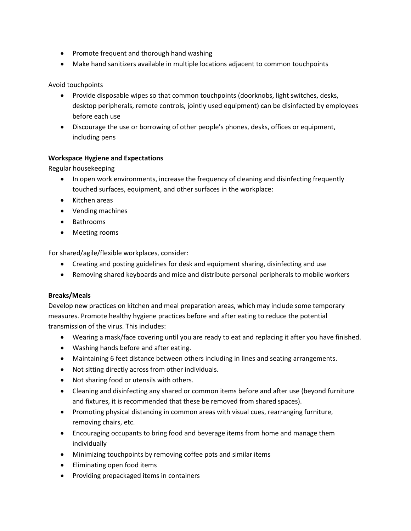- Promote frequent and thorough hand washing
- Make hand sanitizers available in multiple locations adjacent to common touchpoints

#### Avoid touchpoints

- Provide disposable wipes so that common touchpoints (doorknobs, light switches, desks, desktop peripherals, remote controls, jointly used equipment) can be disinfected by employees before each use
- Discourage the use or borrowing of other people's phones, desks, offices or equipment, including pens

#### **Workspace Hygiene and Expectations**

Regular housekeeping

- In open work environments, increase the frequency of cleaning and disinfecting frequently touched surfaces, equipment, and other surfaces in the workplace:
- Kitchen areas
- Vending machines
- Bathrooms
- Meeting rooms

For shared/agile/flexible workplaces, consider:

- Creating and posting guidelines for desk and equipment sharing, disinfecting and use
- Removing shared keyboards and mice and distribute personal peripherals to mobile workers

#### **Breaks/Meals**

Develop new practices on kitchen and meal preparation areas, which may include some temporary measures. Promote healthy hygiene practices before and after eating to reduce the potential transmission of the virus. This includes:

- Wearing a mask/face covering until you are ready to eat and replacing it after you have finished.
- Washing hands before and after eating.
- Maintaining 6 feet distance between others including in lines and seating arrangements.
- Not sitting directly across from other individuals.
- Not sharing food or utensils with others.
- Cleaning and disinfecting any shared or common items before and after use (beyond furniture and fixtures, it is recommended that these be removed from shared spaces).
- Promoting physical distancing in common areas with visual cues, rearranging furniture, removing chairs, etc.
- Encouraging occupants to bring food and beverage items from home and manage them individually
- Minimizing touchpoints by removing coffee pots and similar items
- Eliminating open food items
- Providing prepackaged items in containers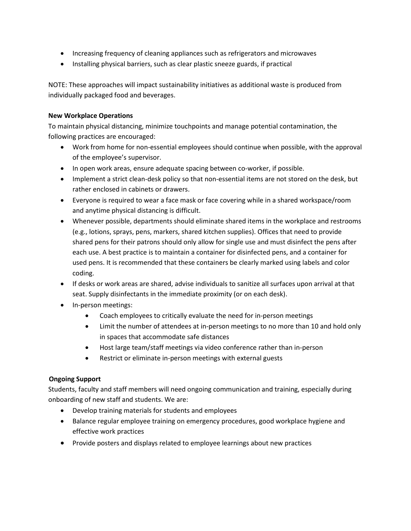- Increasing frequency of cleaning appliances such as refrigerators and microwaves
- Installing physical barriers, such as clear plastic sneeze guards, if practical

NOTE: These approaches will impact sustainability initiatives as additional waste is produced from individually packaged food and beverages.

#### **New Workplace Operations**

To maintain physical distancing, minimize touchpoints and manage potential contamination, the following practices are encouraged:

- Work from home for non-essential employees should continue when possible, with the approval of the employee's supervisor.
- In open work areas, ensure adequate spacing between co-worker, if possible.
- Implement a strict clean-desk policy so that non-essential items are not stored on the desk, but rather enclosed in cabinets or drawers.
- Everyone is required to wear a face mask or face covering while in a shared workspace/room and anytime physical distancing is difficult.
- Whenever possible, departments should eliminate shared items in the workplace and restrooms (e.g., lotions, sprays, pens, markers, shared kitchen supplies). Offices that need to provide shared pens for their patrons should only allow for single use and must disinfect the pens after each use. A best practice is to maintain a container for disinfected pens, and a container for used pens. It is recommended that these containers be clearly marked using labels and color coding.
- If desks or work areas are shared, advise individuals to sanitize all surfaces upon arrival at that seat. Supply disinfectants in the immediate proximity (or on each desk).
- In-person meetings:
	- Coach employees to critically evaluate the need for in-person meetings
	- Limit the number of attendees at in-person meetings to no more than 10 and hold only in spaces that accommodate safe distances
	- Host large team/staff meetings via video conference rather than in-person
	- Restrict or eliminate in-person meetings with external guests

### **Ongoing Support**

Students, faculty and staff members will need ongoing communication and training, especially during onboarding of new staff and students. We are:

- Develop training materials for students and employees
- Balance regular employee training on emergency procedures, good workplace hygiene and effective work practices
- Provide posters and displays related to employee learnings about new practices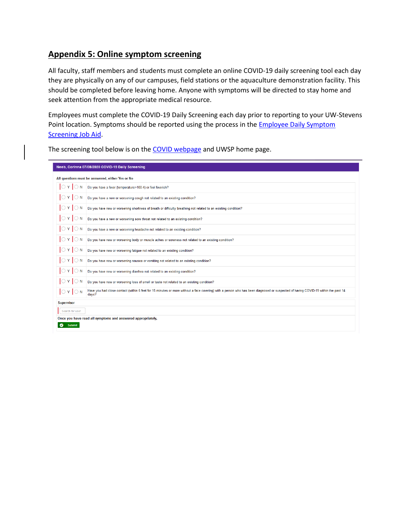## **Appendix 5: Online symptom screening**

All faculty, staff members and students must complete an online COVID-19 daily screening tool each day they are physically on any of our campuses, field stations or the aquaculture demonstration facility. This should be completed before leaving home. Anyone with symptoms will be directed to stay home and seek attention from the appropriate medical resource.

Employees must complete the COVID-19 Daily Screening each day prior to reporting to your UW-Stevens Point location. Symptoms should be reported using the process in the **Employee Daily Symptom** [Screening Job Aid.](https://www.uwsp.edu/coronavirus/Documents/Employee%20Daily%20Symptom%20Screening%20Form%20Job%20Aid.pdf)

The screening tool below is on th[e COVID webpage](https://www.uwsp.edu/coronavirus/Pages/default.aspx) and UWSP home page.

| Neeb, Corinna 07/08/2020 COVID-19 Daily Screening |                                                                                                                                                                                            |  |  |  |  |
|---------------------------------------------------|--------------------------------------------------------------------------------------------------------------------------------------------------------------------------------------------|--|--|--|--|
| All questions must be answered, either Yes or No  |                                                                                                                                                                                            |  |  |  |  |
| $\bigcirc$ Y $\bigcirc$ N                         | Do you have a fever (temperature>100.4) or feel feverish?                                                                                                                                  |  |  |  |  |
| $\bigcirc$ Y $\bigcirc$ N                         | Do you have a new or worsening cough not related to an existing condition?                                                                                                                 |  |  |  |  |
| $\bigcirc$ Y $\bigcirc$ N                         | Do you have new or worsening shortness of breath or difficulty breathing not related to an existing condition?                                                                             |  |  |  |  |
| $\bigcirc$ Y $\bigcirc$ N                         | Do you have a new or worsening sore throat not related to an existing condition?                                                                                                           |  |  |  |  |
| $\bigcirc$ Y $\bigcirc$ N                         | Do you have a new or worsening headache not related to an existing condition?                                                                                                              |  |  |  |  |
| $\bigcirc$ Y $\bigcirc$ N                         | Do you have new or worsening body or muscle aches or soreness not related to an existing condition?                                                                                        |  |  |  |  |
| $\bigcirc$ Y $\bigcirc$ N                         | Do you have new or worsening fatigue not related to an existing condition?                                                                                                                 |  |  |  |  |
| $\bigcirc$ Y $\bigcirc$ N                         | Do you have new or worsening nausea or vomiting not related to an existing condition?                                                                                                      |  |  |  |  |
| $\bigcirc$ Y $\bigcirc$ N                         | Do you have new or worsening diarrhea not related to an existing condition?                                                                                                                |  |  |  |  |
| $\bigcirc$ Y $\bigcirc$ N                         | Do you have new or worsening loss of smell or taste not related to an existing condition?                                                                                                  |  |  |  |  |
| $\bigcirc$ Y $\bigcirc$ N                         | Have you had close contact (within 6 feet for 15 minutes or more without a face covering) with a person who has been diagnosed or suspected of having COVID-19 within the past 14<br>days? |  |  |  |  |
| <b>Supervisor</b>                                 |                                                                                                                                                                                            |  |  |  |  |
| Search for user                                   |                                                                                                                                                                                            |  |  |  |  |
|                                                   | Once you have read all symptoms and answered appropriately,                                                                                                                                |  |  |  |  |
| <b>Submit</b><br>ø                                |                                                                                                                                                                                            |  |  |  |  |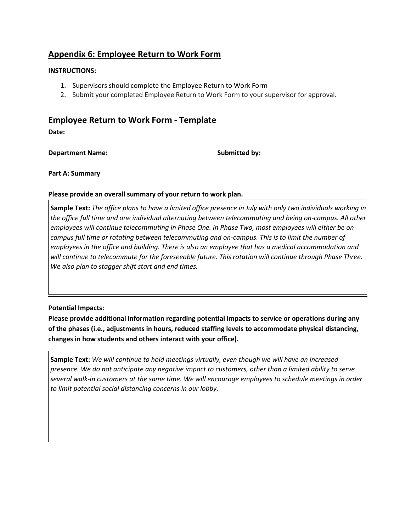## **Appendix 6: Employee Return to Work Form**

#### **INSTRUCTIONS:**

- 1. Supervisors should complete the Employee Return to Work Form
- 2. Submit your completed Employee Return to Work Form to your supervisor for approval.

# **Employee Return to Work Form - Template**

**Date:** 

**Department Name:** Submitted by:

**Part A: Summary**

**Please provide an overall summary of your return to work plan.**

**Sample Text:** *The office plans to have a limited office presence in July with only two individuals working in the office full time and one individual alternating between telecommuting and being on-campus. All other employees will continue telecommuting in Phase One. In Phase Two, most employees will either be oncampus full time or rotating between telecommuting and on-campus. This is to limit the number of employees in the office and building. There is also an employee that has a medical accommodation and will continue to telecommute for the foreseeable future. This rotation will continue through Phase Three. We also plan to stagger shift start and end times.*

### **Potential Impacts:**

**Please provide additional information regarding potential impacts to service or operations during any of the phases (i.e., adjustments in hours, reduced staffing levels to accommodate physical distancing, changes in how students and others interact with your office).**

**Sample Text:** *We will continue to hold meetings virtually, even though we will have an increased presence. We do not anticipate any negative impact to customers, other than a limited ability to serve several walk-in customers at the same time. We will encourage employees to schedule meetings in order to limit potential social distancing concerns in our lobby.*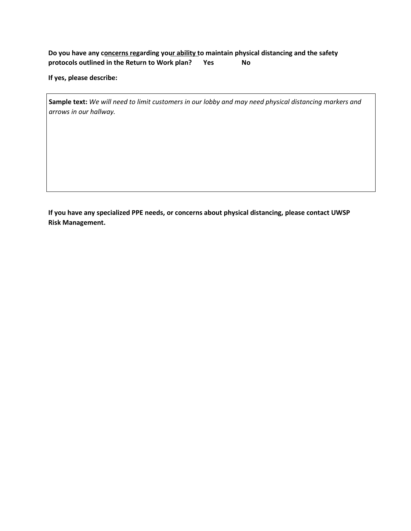### **Do you have any concerns regarding your ability to maintain physical distancing and the safety protocols outlined in the Return to Work plan? Yes No**

**If yes, please describe:**

**Sample text:** *We will need to limit customers in our lobby and may need physical distancing markers and arrows in our hallway.*

**If you have any specialized PPE needs, or concerns about physical distancing, please contact UWSP Risk Management.**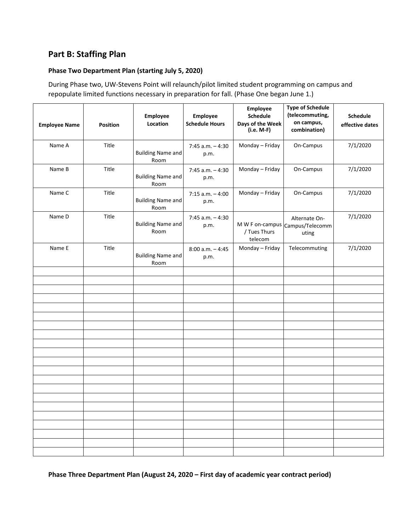## **Part B: Staffing Plan**

#### **Phase Two Department Plan (starting July 5, 2020)**

During Phase two, UW-Stevens Point will relaunch/pilot limited student programming on campus and repopulate limited functions necessary in preparation for fall. (Phase One began June 1.)

| <b>Employee Name</b> | <b>Position</b> | Employee<br>Location             | <b>Employee</b><br><b>Schedule Hours</b> | Employee<br>Schedule<br>Days of the Week<br>(i.e. M-F) | <b>Type of Schedule</b><br>(telecommuting,<br>on campus,<br>combination) | <b>Schedule</b><br>effective dates |
|----------------------|-----------------|----------------------------------|------------------------------------------|--------------------------------------------------------|--------------------------------------------------------------------------|------------------------------------|
| Name A               | Title           | <b>Building Name and</b><br>Room | $7:45$ a.m. $-4:30$<br>p.m.              | Monday - Friday                                        | On-Campus                                                                | 7/1/2020                           |
| Name B               | Title           | <b>Building Name and</b><br>Room | $7:45$ a.m. $-4:30$<br>p.m.              | Monday - Friday                                        | On-Campus                                                                | 7/1/2020                           |
| Name C               | Title           | <b>Building Name and</b><br>Room | $7:15$ a.m. $-4:00$<br>p.m.              | Monday - Friday                                        | On-Campus                                                                | 7/1/2020                           |
| Name D               | Title           | <b>Building Name and</b><br>Room | $7:45$ a.m. $-4:30$<br>p.m.              | / Tues Thurs<br>telecom                                | Alternate On-<br>M W F on-campus Campus/Telecomm<br>uting                | 7/1/2020                           |
| Name E               | Title           | <b>Building Name and</b><br>Room | $8:00$ a.m. $-4:45$<br>p.m.              | Monday - Friday                                        | Telecommuting                                                            | 7/1/2020                           |
|                      |                 |                                  |                                          |                                                        |                                                                          |                                    |
|                      |                 |                                  |                                          |                                                        |                                                                          |                                    |
|                      |                 |                                  |                                          |                                                        |                                                                          |                                    |
|                      |                 |                                  |                                          |                                                        |                                                                          |                                    |
|                      |                 |                                  |                                          |                                                        |                                                                          |                                    |
|                      |                 |                                  |                                          |                                                        |                                                                          |                                    |
|                      |                 |                                  |                                          |                                                        |                                                                          |                                    |
|                      |                 |                                  |                                          |                                                        |                                                                          |                                    |
|                      |                 |                                  |                                          |                                                        |                                                                          |                                    |
|                      |                 |                                  |                                          |                                                        |                                                                          |                                    |
|                      |                 |                                  |                                          |                                                        |                                                                          |                                    |
|                      |                 |                                  |                                          |                                                        |                                                                          |                                    |
|                      |                 |                                  |                                          |                                                        |                                                                          |                                    |
|                      |                 |                                  |                                          |                                                        |                                                                          |                                    |
|                      |                 |                                  |                                          |                                                        |                                                                          |                                    |
|                      |                 |                                  |                                          |                                                        |                                                                          |                                    |
|                      |                 |                                  |                                          |                                                        |                                                                          |                                    |
|                      |                 |                                  |                                          |                                                        |                                                                          |                                    |

**Phase Three Department Plan (August 24, 2020 – First day of academic year contract period)**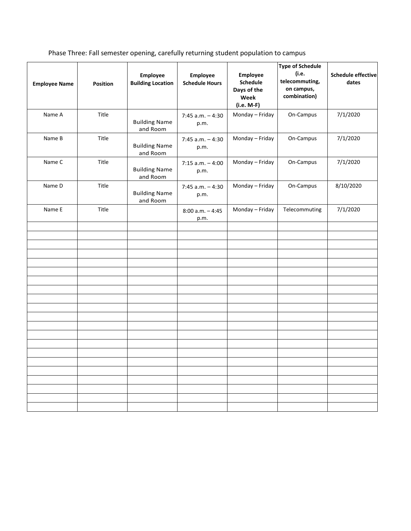Phase Three: Fall semester opening, carefully returning student population to campus

|                      |                 |                                      |                                   | <b>Type of Schedule</b>                                   |                                                       |                                    |
|----------------------|-----------------|--------------------------------------|-----------------------------------|-----------------------------------------------------------|-------------------------------------------------------|------------------------------------|
| <b>Employee Name</b> | <b>Position</b> | Employee<br><b>Building Location</b> | Employee<br><b>Schedule Hours</b> | Employee<br>Schedule<br>Days of the<br>Week<br>(i.e. M-F) | (i.e.<br>telecommuting,<br>on campus,<br>combination) | <b>Schedule effective</b><br>dates |
| Name A               | Title           | <b>Building Name</b><br>and Room     | $7:45$ a.m. $-4:30$<br>p.m.       | Monday - Friday                                           | On-Campus                                             | 7/1/2020                           |
| Name B               | Title           | <b>Building Name</b><br>and Room     | $7:45$ a.m. $-4:30$<br>p.m.       | Monday - Friday                                           | On-Campus                                             | 7/1/2020                           |
| Name C               | Title           | <b>Building Name</b><br>and Room     | $7:15$ a.m. $-4:00$<br>p.m.       | Monday - Friday                                           | On-Campus                                             | 7/1/2020                           |
| Name D               | Title           | <b>Building Name</b><br>and Room     | $7:45$ a.m. $-4:30$<br>p.m.       | Monday - Friday                                           | On-Campus                                             | 8/10/2020                          |
| Name E               | Title           |                                      | $8:00$ a.m. $-4:45$<br>p.m.       | Monday - Friday                                           | Telecommuting                                         | 7/1/2020                           |
|                      |                 |                                      |                                   |                                                           |                                                       |                                    |
|                      |                 |                                      |                                   |                                                           |                                                       |                                    |
|                      |                 |                                      |                                   |                                                           |                                                       |                                    |
|                      |                 |                                      |                                   |                                                           |                                                       |                                    |
|                      |                 |                                      |                                   |                                                           |                                                       |                                    |
|                      |                 |                                      |                                   |                                                           |                                                       |                                    |
|                      |                 |                                      |                                   |                                                           |                                                       |                                    |
|                      |                 |                                      |                                   |                                                           |                                                       |                                    |
|                      |                 |                                      |                                   |                                                           |                                                       |                                    |
|                      |                 |                                      |                                   |                                                           |                                                       |                                    |
|                      |                 |                                      |                                   |                                                           |                                                       |                                    |
|                      |                 |                                      |                                   |                                                           |                                                       |                                    |
|                      |                 |                                      |                                   |                                                           |                                                       |                                    |
|                      |                 |                                      |                                   |                                                           |                                                       |                                    |
|                      |                 |                                      |                                   |                                                           |                                                       |                                    |
|                      |                 |                                      |                                   |                                                           |                                                       |                                    |
|                      |                 |                                      |                                   |                                                           |                                                       |                                    |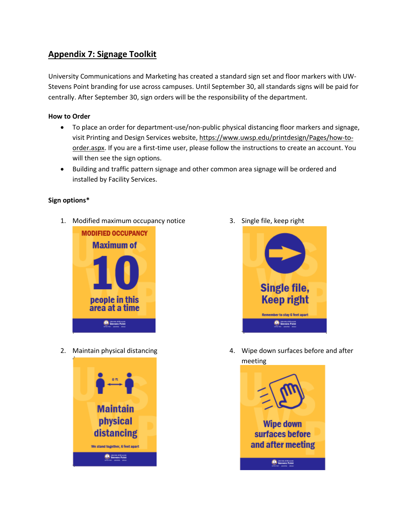## **Appendix 7: Signage Toolkit**

University Communications and Marketing has created a standard sign set and floor markers with UW-Stevens Point branding for use across campuses. Until September 30, all standards signs will be paid for centrally. After September 30, sign orders will be the responsibility of the department.

### **How to Order**

- To place an order for department-use/non-public physical distancing floor markers and signage, visit Printing and Design Services website, [https://www.uwsp.edu/printdesign/Pages/how-to](https://www.uwsp.edu/printdesign/Pages/how-to-order.aspx)[order.aspx.](https://www.uwsp.edu/printdesign/Pages/how-to-order.aspx) If you are a first-time user, please follow the instructions to create an account. You will then see the sign options.
- Building and traffic pattern signage and other common area signage will be ordered and installed by Facility Services.

### **Sign options\***

1. Modified maximum occupancy notice



2. Maintain physical distancing



3. Single file, keep right



4. Wipe down surfaces before and after meeting

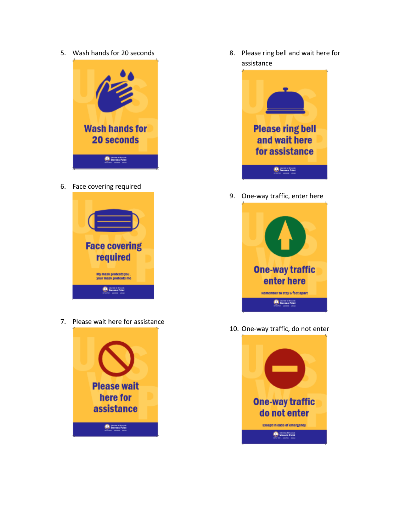5. Wash hands for 20 seconds



6. Face covering required



7. Please wait here for assistance



8. Please ring bell and wait here for assistance



9. One-way traffic, enter here



10. One-way traffic, do not enter

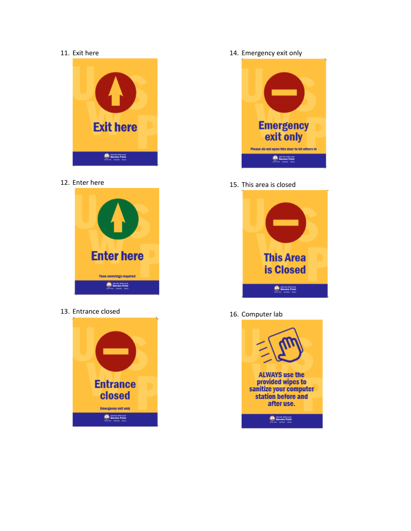#### 11. Exit here



12. Enter here



13. Entrance closed



14. Emergency exit only



15. This area is closed



16. Computer lab

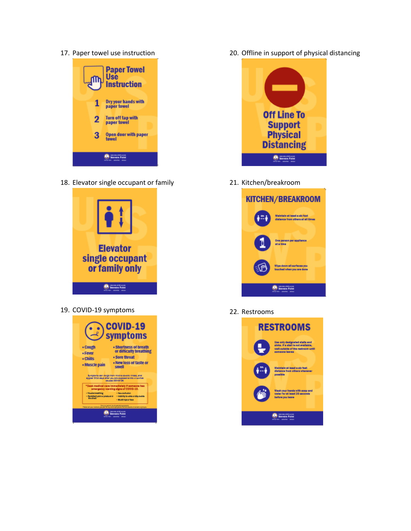17. Paper towel use instruction



18. Elevator single occupant or family



19. COVID-19 symptoms



20. Offline in support of physical distancing



21. Kitchen/breakroom



22. Restrooms

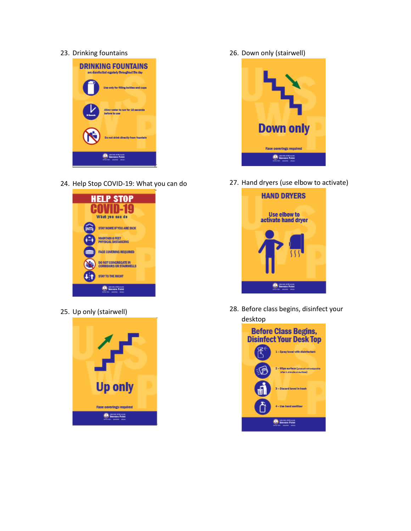### 23. Drinking fountains



24. Help Stop COVID-19: What you can do



25. Up only (stairwell)



26. Down only (stairwell)



27. Hand dryers (use elbow to activate)



28. Before class begins, disinfect your desktop

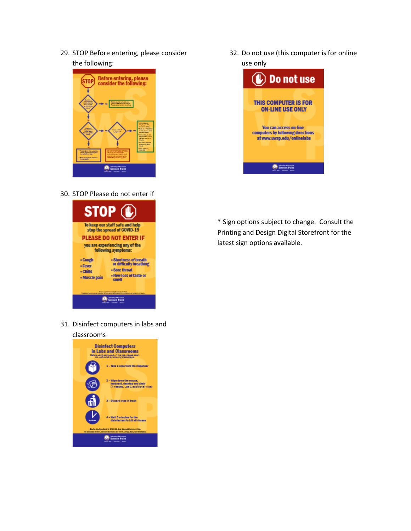29. STOP Before entering, please consider the following:



30. STOP Please do not enter if



31. Disinfect computers in labs and

# classrooms Disinfect Computers<br>in Labs and Classrooms<br>manuscriptions 1 - Take a wipe from the dispenser 2 - Wige down the mouse,<br>keyboard, desktop and chair<br>(if needed, was 1 additional wige) 3 - Discard vipe in trash 4 - Walt 3 minutes for the<br>disinfectant to kill all viruses **State code** .<br>Chieddodd ar acoecddio an-lloe.<br>Chieddodd at eeswesig .cdw/odibis **O** Stevens Point

32. Do not use (this computer is for online use only



\* Sign options subject to change. Consult the Printing and Design Digital Storefront for the latest sign options available.